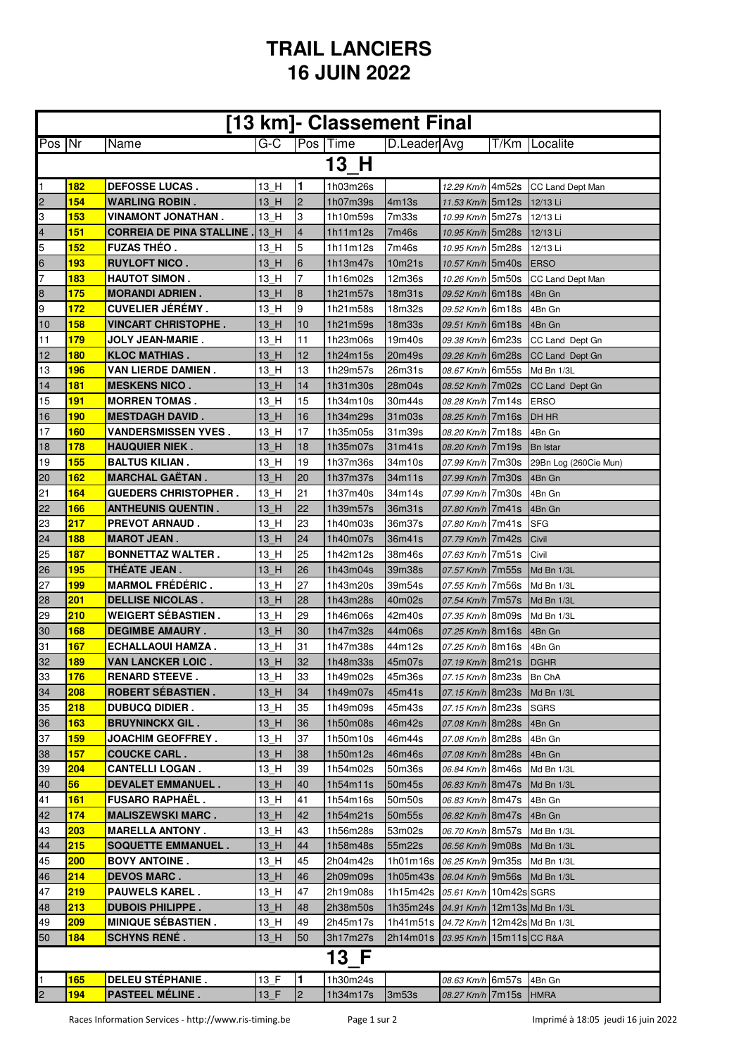## **TRAIL LANCIERS 16 JUIN 2022**

| [13 km]- Classement Final |            |                                 |                                 |                |                 |                |                              |  |                       |  |
|---------------------------|------------|---------------------------------|---------------------------------|----------------|-----------------|----------------|------------------------------|--|-----------------------|--|
| Pos Nr                    |            | Name                            | $G-C$                           |                | <b>Pos Time</b> | D.Leader Avg   |                              |  | T/Km   Localite       |  |
| 13 H                      |            |                                 |                                 |                |                 |                |                              |  |                       |  |
| 1                         | <b>182</b> | <b>DEFOSSE LUCAS.</b>           | 13 H                            | 1              | 1h03m26s        |                | 12.29 Km/h 4m52s             |  | CC Land Dept Man      |  |
| 2                         | 154        | <b>WARLING ROBIN.</b>           | 13 H                            | $\overline{c}$ | 1h07m39s        | 4m13s          | 11.53 Km/h 5m12s             |  | 12/13 Li              |  |
| 3                         | 153        | VINAMONT JONATHAN.              | 13 H                            | 3              | 1h10m59s        | 7m33s          | 10.99 Km/h 5m27s             |  | 12/13 Li              |  |
|                           | 151        | <b>CORREIA DE PINA STALLINE</b> |                                 | 4              |                 |                |                              |  |                       |  |
| 4<br>5                    | 152        | <b>FUZAS THEO.</b>              | 13 H<br>13 H                    | 5              | 1h11m12s        | 7m46s<br>7m46s | 10.95 Km/h 5m28s             |  | 12/13 Li              |  |
|                           |            |                                 |                                 |                | 1h11m12s        |                | 10.95 Km/h 5m28s             |  | 12/13 Li              |  |
| 6                         | 193        | <b>RUYLOFT NICO.</b>            | 13 H                            | 6              | 1h13m47s        | 10m21s         | 10.57 Km/h 5m40s             |  | <b>ERSO</b>           |  |
| 7                         | 183        | <b>HAUTOT SIMON.</b>            | 13 H                            | 7              | 1h16m02s        | 12m36s         | 10.26 Km/h 5m50s             |  | CC Land Dept Man      |  |
| 8                         | 175        | <b>MORANDI ADRIEN.</b>          | 13 H                            | 8              | 1h21m57s        | 18m31s         | 09.52 Km/h 6m18s             |  | 4Bn Gn                |  |
| 9                         | 172        | <b>CUVELIER JÉRÉMY.</b>         | 13 H                            | 9              | 1h21m58s        | 18m32s         | 09.52 Km/h 6m18s             |  | 4Bn Gn                |  |
| 10                        | <b>158</b> | <b>VINCART CHRISTOPHE.</b>      | 13 H                            | 10             | 1h21m59s        | 18m33s         | 09.51 Km/h 6m18s             |  | 4Bn Gn                |  |
| 11                        | 179        | <b>JOLY JEAN-MARIE.</b>         | 13 H                            | 11             | 1h23m06s        | 19m40s         | 09.38 Km/h 6m23s             |  | CC Land Dept Gn       |  |
| 12                        | <b>180</b> | <b>KLOC MATHIAS.</b>            | 13 H                            | 12             | 1h24m15s        | 20m49s         | 09.26 Km/h 6m28s             |  | CC Land Dept Gn       |  |
| 13                        | 196        | <b>VAN LIERDE DAMIEN.</b>       | 13 H                            | 13             | 1h29m57s        | 26m31s         | 08.67 Km/h 6m55s             |  | Md Bn 1/3L            |  |
| 14                        | <b>181</b> | <b>MESKENS NICO.</b>            | 13 H                            | 14             | 1h31m30s        | 28m04s         | 08.52 Km/h 7m02s             |  | CC Land Dept Gn       |  |
| 15                        | <b>191</b> | <b>MORREN TOMAS.</b>            | 13 H                            | 15             | 1h34m10s        | 30m44s         | 08.28 Km/h 7m14s             |  | <b>ERSO</b>           |  |
| 16                        | <b>190</b> | <b>MESTDAGH DAVID.</b>          | 13 H                            | 16             | 1h34m29s        | 31m03s         | 08.25 Km/h 7m16s             |  | <b>DH HR</b>          |  |
| 17                        | <b>160</b> | <b>VANDERSMISSEN YVES.</b>      | 13 H                            | 17             | 1h35m05s        | 31m39s         | 08.20 Km/h 7m18s             |  | 4Bn Gn                |  |
| 18                        | 178        | <b>HAUQUIER NIEK.</b>           | 13 H                            | 18             | 1h35m07s        | 31m41s         | 08.20 Km/h 7m19s             |  | <b>Bn Istar</b>       |  |
| 19                        | 155        | <b>BALTUS KILIAN.</b>           | 13 H                            | 19             | 1h37m36s        | 34m10s         | 07.99 Km/h 7m30s             |  | 29Bn Log (260Cie Mun) |  |
| 20                        | 162        | <b>MARCHAL GAETAN.</b>          | 13 H                            | 20             | 1h37m37s        | 34m11s         | 07.99 Km/h 7m30s             |  | 4Bn Gn                |  |
| 21                        | 164        | <b>GUEDERS CHRISTOPHER.</b>     | 13 H                            | 21             | 1h37m40s        | 34m14s         | 07.99 Km/h 7m30s             |  | 4Bn Gn                |  |
| 22                        | 166        | <b>ANTHEUNIS QUENTIN.</b>       | 13 H                            | 22             | 1h39m57s        | 36m31s         | 07.80 Km/h 7m41s             |  | 4Bn Gn                |  |
| 23                        | 217        | <b>PREVOT ARNAUD.</b>           | 13 H                            | 23             | 1h40m03s        | 36m37s         | 07.80 Km/h 7m41s             |  | <b>SFG</b>            |  |
| 24                        | 188        | <b>MAROT JEAN.</b>              | 13 H                            | 24             | 1h40m07s        | 36m41s         | 07.79 Km/h 7m42s             |  | Civil                 |  |
| 25                        | 187        | <b>BONNETTAZ WALTER.</b>        | 13 H                            | 25             | 1h42m12s        | 38m46s         | 07.63 Km/h 7m51s             |  | Civil                 |  |
| 26                        | 195        | <b>THEATE JEAN .</b>            | 13 H                            | 26             | 1h43m04s        | 39m38s         | <i>07.57 Km/h</i> 7m55s      |  | Md Bn 1/3L            |  |
| 27                        | 199        | <b>MARMOL FREDERIC.</b>         | 13 H                            | 27             | 1h43m20s        | 39m54s         | 07.55 Km/h 7m56s             |  | Md Bn 1/3L            |  |
| 28                        | 201        | <b>DELLISE NICOLAS.</b>         | 13 H                            | 28             | 1h43m28s        | 40m02s         | 07.54 Km/h 7m57s             |  | Md Bn 1/3L            |  |
| 29                        | 210        | <b>WEIGERT SEBASTIEN.</b>       | 13 H                            | 29             | 1h46m06s        | 42m40s         | 07.35 Km/h 8m09s             |  | Md Bn 1/3L            |  |
| 30                        | 168        | <b>DEGIMBE AMAURY.</b>          | 13 H                            | 30             | 1h47m32s        | 44m06s         | 07.25 Km/h 8m16s             |  | 4Bn Gn                |  |
| 31                        | 167        | <b>ECHALLAOUI HAMZA.</b>        | 13 H                            | 31             | 1h47m38s        | 44m12s         | <i>07.25 Km/h</i> 8m16s      |  | 4Bn Gn                |  |
| 32                        | 189        | <b>VAN LANCKER LOIC.</b>        | 13 H                            | 32             | 1h48m33s        | 45m07s         | 07.19 Km/h 8m21s             |  | <b>DGHR</b>           |  |
| 33                        | <b>176</b> | <b>RENARD STEEVE.</b>           | $13$ H                          | 133            | 1h49m02s        | 45m36s         | 07.15 Km/h 8m23s             |  | <b>Bn ChA</b>         |  |
| 34                        | 208        | <b>ROBERT SEBASTIEN.</b>        | 13 H                            | 34             | 1h49m07s        | 45m41s         | 07.15 Km/h 8m23s             |  | Md Bn 1/3L            |  |
| 35                        | 218        | <b>DUBUCQ DIDIER.</b>           | 13 H                            | 35             | 1h49m09s        | 45m43s         | 07.15 Km/h 8m23s             |  | <b>SGRS</b>           |  |
| 36                        | 163        | <b>BRUYNINCKX GIL.</b>          | 13 H                            | 36             | 1h50m08s        | 46m42s         | 07.08 Km/h 8m28s             |  | 4Bn Gn                |  |
| 37                        | 159        | <b>JOACHIM GEOFFREY.</b>        | 13 H                            | 37             | 1h50m10s        | 46m44s         | 07.08 Km/h 8m28s             |  | 4Bn Gn                |  |
| 38                        | <b>157</b> | <b>COUCKE CARL.</b>             | 13 H                            | 38             | 1h50m12s        | 46m46s         | 07.08 Km/h 8m28s             |  | 4Bn Gn                |  |
| 39                        | 204        | <b>CANTELLI LOGAN.</b>          | 13 H                            | 39             | 1h54m02s        | 50m36s         | 06.84 Km/h 8m46s             |  | Md Bn 1/3L            |  |
| 40                        | 56         | <b>DEVALET EMMANUEL.</b>        | 13 H                            | 40             | 1h54m11s        | 50m45s         | 06.83 Km/h 8m47s             |  | Md Bn 1/3L            |  |
| 41                        | <b>161</b> | <b>FUSARO RAPHAEL.</b>          | 13 H                            | 41             | 1h54m16s        | 50m50s         | 06.83 Km/h 8m47s             |  | 4Bn Gn                |  |
| 42                        | 174        | <b>MALISZEWSKI MARC.</b>        | 13 H                            | 42             | 1h54m21s        | 50m55s         | 06.82 Km/h 8m47s             |  | 4Bn Gn                |  |
| 43                        | 203        | <b>MARELLA ANTONY.</b>          | 13 H                            | 43             | 1h56m28s        | 53m02s         | 06.70 Km/h 8m57s             |  | Md Bn 1/3L            |  |
| 44                        | 215        | <b>SOQUETTE EMMANUEL.</b>       | 13 H                            | 44             | 1h58m48s        | 55m22s         | 06.56 Km/h 9m08s             |  | Md Bn 1/3L            |  |
| 45                        | 200        | <b>BOVY ANTOINE.</b>            | 13 H                            | 45             | 2h04m42s        | 1h01m16s       | 06.25 Km/h 9m35s             |  | Md Bn 1/3L            |  |
| 46                        | 214        | <b>DEVOS MARC.</b>              | 13 H                            | 46             | 2h09m09s        | 1h05m43s       | 06.04 Km/h 9m56s             |  | Md Bn 1/3L            |  |
| 47                        | 219        | <b>PAUWELS KAREL.</b>           | 13 H                            | 47             | 2h19m08s        | 1h15m42s       | 05.61 Km/h 10m42s SGRS       |  |                       |  |
| 48                        | 213        | <b>DUBOIS PHILIPPE.</b>         | 13 H                            | 48             | 2h38m50s        | 1h35m24s       | 04.91 Km/h 12m13s Md Bn 1/3L |  |                       |  |
| 49                        | 209        | <b>MINIQUE SÉBASTIEN.</b>       | 13 H                            | 49             | 2h45m17s        | 1h41m51s       | 04.72 Km/h 12m42s Md Bn 1/3L |  |                       |  |
| 50                        | 184        | <b>SCHYNS RENÉ.</b>             | $13$ _H                         | 50             | 3h17m27s        | 2h14m01s       | 03.95 Km/h   15m 11s CC R&A  |  |                       |  |
| 13 F                      |            |                                 |                                 |                |                 |                |                              |  |                       |  |
|                           |            |                                 |                                 |                |                 |                |                              |  |                       |  |
| 1                         | <b>165</b> | <b>DELEU STÉPHANIE.</b>         | $13$ <sup><math>-F</math></sup> | 1              | 1h30m24s        |                | 08.63 Km/h 6m57s             |  | 4Bn Gn                |  |
| $\overline{c}$            | 194        | <b>PASTEEL MÉLINE.</b>          | $13$ <sup><math>F</math></sup>  | 2              | 1h34m17s        | 3m53s          | 08.27 Km/h 7m15s             |  | <b>HMRA</b>           |  |